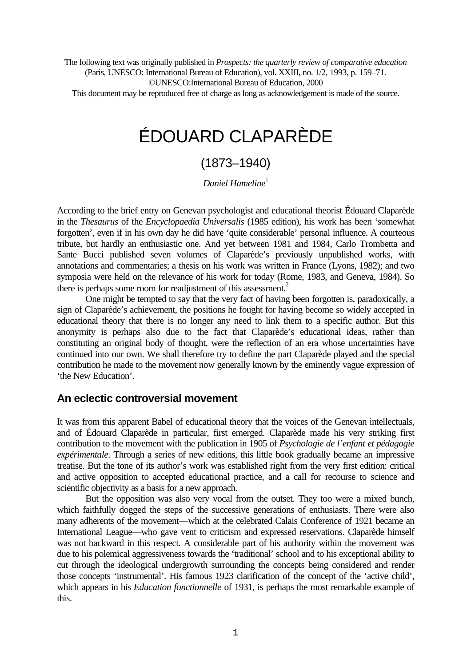The following text was originally published in *Prospects: the quarterly review of comparative education* (Paris, UNESCO: International Bureau of Education), vol. XXIII, no. 1/2, 1993, p. 159–71.

©UNESCO:International Bureau of Education, 2000

This document may be reproduced free of charge as long as acknowledgement is made of the source.

# ÉDOUARD CLAPARÈDE

## (1873–1940)

*Daniel Hameline*<sup>1</sup>

According to the brief entry on Genevan psychologist and educational theorist Édouard Claparède in the *Thesaurus* of the *Encyclopaedia Universalis* (1985 edition), his work has been 'somewhat forgotten', even if in his own day he did have 'quite considerable' personal influence. A courteous tribute, but hardly an enthusiastic one. And yet between 1981 and 1984, Carlo Trombetta and Sante Bucci published seven volumes of Claparède's previously unpublished works, with annotations and commentaries; a thesis on his work was written in France (Lyons, 1982); and two symposia were held on the relevance of his work for today (Rome, 1983, and Geneva, 1984). So there is perhaps some room for readjustment of this assessment.<sup>2</sup>

One might be tempted to say that the very fact of having been forgotten is, paradoxically, a sign of Claparède's achievement, the positions he fought for having become so widely accepted in educational theory that there is no longer any need to link them to a specific author. But this anonymity is perhaps also due to the fact that Claparède's educational ideas, rather than constituting an original body of thought, were the reflection of an era whose uncertainties have continued into our own. We shall therefore try to define the part Claparède played and the special contribution he made to the movement now generally known by the eminently vague expression of 'the New Education'.

## **An eclectic controversial movement**

It was from this apparent Babel of educational theory that the voices of the Genevan intellectuals, and of Édouard Claparède in particular, first emerged. Claparède made his very striking first contribution to the movement with the publication in 1905 of *Psychologie de l'enfant et pédagogie expérimentale*. Through a series of new editions, this little book gradually became an impressive treatise. But the tone of its author's work was established right from the very first edition: critical and active opposition to accepted educational practice, and a call for recourse to science and scientific objectivity as a basis for a new approach.

But the opposition was also very vocal from the outset. They too were a mixed bunch, which faithfully dogged the steps of the successive generations of enthusiasts. There were also many adherents of the movement—which at the celebrated Calais Conference of 1921 became an International League—who gave vent to criticism and expressed reservations. Claparède himself was not backward in this respect. A considerable part of his authority within the movement was due to his polemical aggressiveness towards the 'traditional' school and to his exceptional ability to cut through the ideological undergrowth surrounding the concepts being considered and render those concepts 'instrumental'. His famous 1923 clarification of the concept of the 'active child', which appears in his *Education fonctionnelle* of 1931, is perhaps the most remarkable example of this.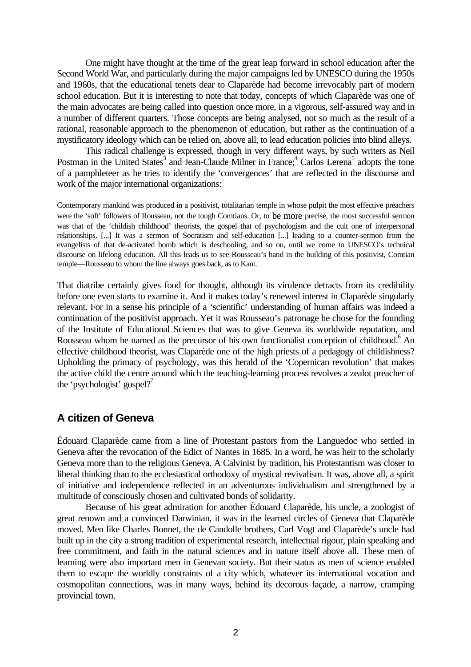One might have thought at the time of the great leap forward in school education after the Second World War, and particularly during the major campaigns led by UNESCO during the 1950s and 1960s, that the educational tenets dear to Claparède had become irrevocably part of modern school education. But it is interesting to note that today, concepts of which Claparède was one of the main advocates are being called into question once more, in a vigorous, self-assured way and in a number of different quarters. Those concepts are being analysed, not so much as the result of a rational, reasonable approach to the phenomenon of education, but rather as the continuation of a mystificatory ideology which can be relied on, above all, to lead education policies into blind alleys.

This radical challenge is expressed, though in very different ways, by such writers as Neil Postman in the United States<sup>3</sup> and Jean-Claude Milner in France;<sup>4</sup> Carlos Lerena<sup>5</sup> adopts the tone of a pamphleteer as he tries to identify the 'convergences' that are reflected in the discourse and work of the major international organizations:

Contemporary mankind was produced in a positivist, totalitarian temple in whose pulpit the most effective preachers were the 'soft' followers of Rousseau, not the tough Comtians. Or, to be more precise, the most successful sermon was that of the 'childish childhood' theorists, the gospel that of psychologism and the cult one of interpersonal relationships. [...] It was a sermon of Socratism and self-education [...] leading to a counter-sermon from the evangelists of that de-activated bomb which is deschooling, and so on, until we come to UNESCO's technical discourse on lifelong education. All this leads us to see Rousseau's hand in the building of this positivist, Comtian temple—Rousseau to whom the line always goes back, as to Kant.

That diatribe certainly gives food for thought, although its virulence detracts from its credibility before one even starts to examine it. And it makes today's renewed interest in Claparède singularly relevant. For in a sense his principle of a 'scientific' understanding of human affairs was indeed a continuation of the positivist approach. Yet it was Rousseau's patronage he chose for the founding of the Institute of Educational Sciences that was to give Geneva its worldwide reputation, and Rousseau whom he named as the precursor of his own functionalist conception of childhood.<sup>6</sup> An effective childhood theorist, was Claparède one of the high priests of a pedagogy of childishness? Upholding the primacy of psychology, was this herald of the 'Copernican revolution' that makes the active child the centre around which the teaching-learning process revolves a zealot preacher of the 'psychologist' gospel?<sup>7</sup>

## **A citizen of Geneva**

Édouard Claparède came from a line of Protestant pastors from the Languedoc who settled in Geneva after the revocation of the Edict of Nantes in 1685. In a word, he was heir to the scholarly Geneva more than to the religious Geneva. A Calvinist by tradition, his Protestantism was closer to liberal thinking than to the ecclesiastical orthodoxy of mystical revivalism. It was, above all, a spirit of initiative and independence reflected in an adventurous individualism and strengthened by a multitude of consciously chosen and cultivated bonds of solidarity.

Because of his great admiration for another Édouard Claparède, his uncle, a zoologist of great renown and a convinced Darwinian, it was in the learned circles of Geneva that Claparède moved. Men like Charles Bonnet, the de Candolle brothers, Carl Vogt and Claparède's uncle had built up in the city a strong tradition of experimental research, intellectual rigour, plain speaking and free commitment, and faith in the natural sciences and in nature itself above all. These men of learning were also important men in Genevan society. But their status as men of science enabled them to escape the worldly constraints of a city which, whatever its international vocation and cosmopolitan connections, was in many ways, behind its decorous façade, a narrow, cramping provincial town.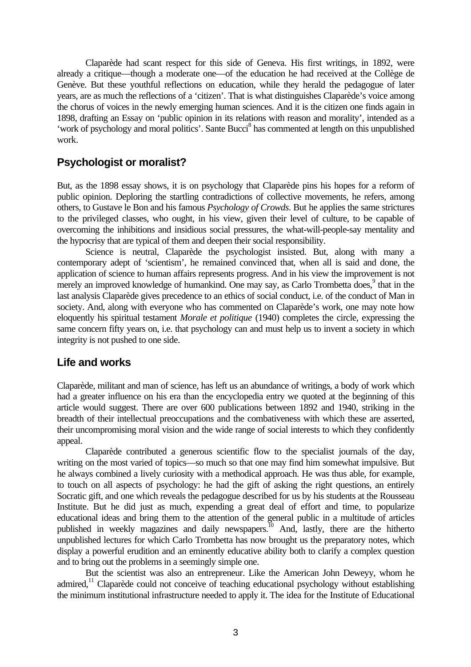Claparède had scant respect for this side of Geneva. His first writings, in 1892, were already a critique—though a moderate one—of the education he had received at the Collège de Genève. But these youthful reflections on education, while they herald the pedagogue of later years, are as much the reflections of a 'citizen'. That is what distinguishes Claparède's voice among the chorus of voices in the newly emerging human sciences. And it is the citizen one finds again in 1898, drafting an Essay on 'public opinion in its relations with reason and morality', intended as a 'work of psychology and moral politics'. Sante Bucci<sup>8</sup> has commented at length on this unpublished work.

## **Psychologist or moralist?**

But, as the 1898 essay shows, it is on psychology that Claparède pins his hopes for a reform of public opinion. Deploring the startling contradictions of collective movements, he refers, among others, to Gustave le Bon and his famous *Psychology of Crowds*. But he applies the same strictures to the privileged classes, who ought, in his view, given their level of culture, to be capable of overcoming the inhibitions and insidious social pressures, the what-will-people-say mentality and the hypocrisy that are typical of them and deepen their social responsibility.

Science is neutral, Claparède the psychologist insisted. But, along with many a contemporary adept of 'scientism', he remained convinced that, when all is said and done, the application of science to human affairs represents progress. And in his view the improvement is not merely an improved knowledge of humankind. One may say, as Carlo Trombetta does,<sup>9</sup> that in the last analysis Claparède gives precedence to an ethics of social conduct, i.e. of the conduct of Man in society. And, along with everyone who has commented on Claparède's work, one may note how eloquently his spiritual testament *Morale et politique* (1940) completes the circle, expressing the same concern fifty years on, i.e. that psychology can and must help us to invent a society in which integrity is not pushed to one side.

## **Life and works**

Claparède, militant and man of science, has left us an abundance of writings, a body of work which had a greater influence on his era than the encyclopedia entry we quoted at the beginning of this article would suggest. There are over 600 publications between 1892 and 1940, striking in the breadth of their intellectual preoccupations and the combativeness with which these are asserted, their uncompromising moral vision and the wide range of social interests to which they confidently appeal.

Claparède contributed a generous scientific flow to the specialist journals of the day, writing on the most varied of topics—so much so that one may find him somewhat impulsive. But he always combined a lively curiosity with a methodical approach. He was thus able, for example, to touch on all aspects of psychology: he had the gift of asking the right questions, an entirely Socratic gift, and one which reveals the pedagogue described for us by his students at the Rousseau Institute. But he did just as much, expending a great deal of effort and time, to popularize educational ideas and bring them to the attention of the general public in a multitude of articles published in weekly magazines and daily newspapers.<sup>10</sup> And, lastly, there are the hitherto unpublished lectures for which Carlo Trombetta has now brought us the preparatory notes, which display a powerful erudition and an eminently educative ability both to clarify a complex question and to bring out the problems in a seemingly simple one.

But the scientist was also an entrepreneur. Like the American John Deweyy, whom he admired,<sup>11</sup> Claparède could not conceive of teaching educational psychology without establishing the minimum institutional infrastructure needed to apply it. The idea for the Institute of Educational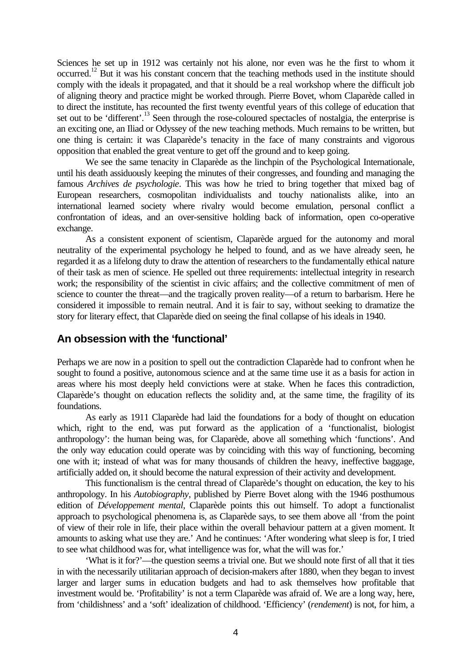Sciences he set up in 1912 was certainly not his alone, nor even was he the first to whom it occurred.<sup>12</sup> But it was his constant concern that the teaching methods used in the institute should comply with the ideals it propagated, and that it should be a real workshop where the difficult job of aligning theory and practice might be worked through. Pierre Bovet, whom Claparède called in to direct the institute, has recounted the first twenty eventful years of this college of education that set out to be 'different'.<sup>13</sup> Seen through the rose-coloured spectacles of nostalgia, the enterprise is an exciting one, an Iliad or Odyssey of the new teaching methods. Much remains to be written, but one thing is certain: it was Claparède's tenacity in the face of many constraints and vigorous opposition that enabled the great venture to get off the ground and to keep going.

We see the same tenacity in Claparède as the linchpin of the Psychological Internationale, until his death assiduously keeping the minutes of their congresses, and founding and managing the famous *Archives de psychologie*. This was how he tried to bring together that mixed bag of European researchers, cosmopolitan individualists and touchy nationalists alike, into an international learned society where rivalry would become emulation, personal conflict a confrontation of ideas, and an over-sensitive holding back of information, open co-operative exchange.

As a consistent exponent of scientism, Claparède argued for the autonomy and moral neutrality of the experimental psychology he helped to found, and as we have already seen, he regarded it as a lifelong duty to draw the attention of researchers to the fundamentally ethical nature of their task as men of science. He spelled out three requirements: intellectual integrity in research work; the responsibility of the scientist in civic affairs; and the collective commitment of men of science to counter the threat—and the tragically proven reality—of a return to barbarism. Here he considered it impossible to remain neutral. And it is fair to say, without seeking to dramatize the story for literary effect, that Claparède died on seeing the final collapse of his ideals in 1940.

## **An obsession with the 'functional'**

Perhaps we are now in a position to spell out the contradiction Claparède had to confront when he sought to found a positive, autonomous science and at the same time use it as a basis for action in areas where his most deeply held convictions were at stake. When he faces this contradiction, Claparède's thought on education reflects the solidity and, at the same time, the fragility of its foundations.

As early as 1911 Claparède had laid the foundations for a body of thought on education which, right to the end, was put forward as the application of a 'functionalist, biologist anthropology': the human being was, for Claparède, above all something which 'functions'. And the only way education could operate was by coinciding with this way of functioning, becoming one with it; instead of what was for many thousands of children the heavy, ineffective baggage, artificially added on, it should become the natural expression of their activity and development.

This functionalism is the central thread of Claparède's thought on education, the key to his anthropology. In his *Autobiography*, published by Pierre Bovet along with the 1946 posthumous edition of *Développement mental*, Claparède points this out himself. To adopt a functionalist approach to psychological phenomena is, as Claparède says, to see them above all 'from the point of view of their role in life, their place within the overall behaviour pattern at a given moment. It amounts to asking what use they are.' And he continues: 'After wondering what sleep is for, I tried to see what childhood was for, what intelligence was for, what the will was for.'

'What is it for?'—the question seems a trivial one. But we should note first of all that it ties in with the necessarily utilitarian approach of decision-makers after 1880, when they began to invest larger and larger sums in education budgets and had to ask themselves how profitable that investment would be. 'Profitability' is not a term Claparède was afraid of. We are a long way, here, from 'childishness' and a 'soft' idealization of childhood. 'Efficiency' (*rendement*) is not, for him, a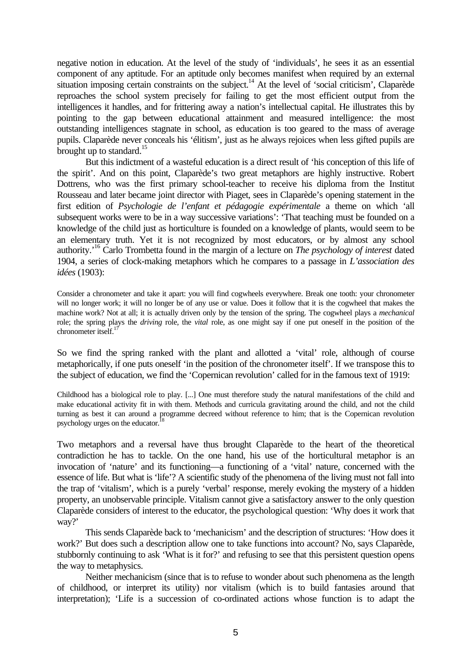negative notion in education. At the level of the study of 'individuals', he sees it as an essential component of any aptitude. For an aptitude only becomes manifest when required by an external situation imposing certain constraints on the subject.<sup>14</sup> At the level of 'social criticism', Claparède reproaches the school system precisely for failing to get the most efficient output from the intelligences it handles, and for frittering away a nation's intellectual capital. He illustrates this by pointing to the gap between educational attainment and measured intelligence: the most outstanding intelligences stagnate in school, as education is too geared to the mass of average pupils. Claparède never conceals his 'élitism', just as he always rejoices when less gifted pupils are brought up to standard.<sup>15</sup>

But this indictment of a wasteful education is a direct result of 'his conception of this life of the spirit'. And on this point, Claparède's two great metaphors are highly instructive. Robert Dottrens, who was the first primary school-teacher to receive his diploma from the Institut Rousseau and later became joint director with Piaget, sees in Claparède's opening statement in the first edition of *Psychologie de l'enfant et pédagogie expérimentale* a theme on which 'all subsequent works were to be in a way successive variations': 'That teaching must be founded on a knowledge of the child just as horticulture is founded on a knowledge of plants, would seem to be an elementary truth. Yet it is not recognized by most educators, or by almost any school authority.'<sup>16</sup> Carlo Trombetta found in the margin of a lecture on *The psychology of interest* dated 1904, a series of clock-making metaphors which he compares to a passage in *L'association des idées* (1903):

Consider a chronometer and take it apart: you will find cogwheels everywhere. Break one tooth: your chronometer will no longer work; it will no longer be of any use or value. Does it follow that it is the cogwheel that makes the machine work? Not at all; it is actually driven only by the tension of the spring. The cogwheel plays a *mechanical* role; the spring plays the *driving* role, the *vital* role, as one might say if one put oneself in the position of the chronometer itself.<sup>17</sup>

So we find the spring ranked with the plant and allotted a 'vital' role, although of course metaphorically, if one puts oneself 'in the position of the chronometer itself'. If we transpose this to the subject of education, we find the 'Copernican revolution' called for in the famous text of 1919:

Childhood has a biological role to play. [...] One must therefore study the natural manifestations of the child and make educational activity fit in with them. Methods and curricula gravitating around the child, and not the child turning as best it can around a programme decreed without reference to him; that is the Copernican revolution psychology urges on the educator.<sup>1</sup>

Two metaphors and a reversal have thus brought Claparède to the heart of the theoretical contradiction he has to tackle. On the one hand, his use of the horticultural metaphor is an invocation of 'nature' and its functioning—a functioning of a 'vital' nature, concerned with the essence of life. But what is 'life'? A scientific study of the phenomena of the living must not fall into the trap of 'vitalism', which is a purely 'verbal' response, merely evoking the mystery of a hidden property, an unobservable principle. Vitalism cannot give a satisfactory answer to the only question Claparède considers of interest to the educator, the psychological question: 'Why does it work that way?'

This sends Claparède back to 'mechanicism' and the description of structures: 'How does it work?' But does such a description allow one to take functions into account? No, says Claparède, stubbornly continuing to ask 'What is it for?' and refusing to see that this persistent question opens the way to metaphysics.

Neither mechanicism (since that is to refuse to wonder about such phenomena as the length of childhood, or interpret its utility) nor vitalism (which is to build fantasies around that interpretation); 'Life is a succession of co-ordinated actions whose function is to adapt the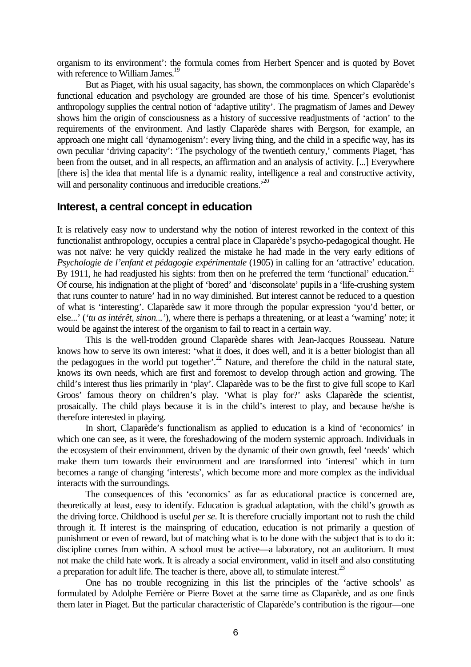organism to its environment': the formula comes from Herbert Spencer and is quoted by Bovet with reference to William James.<sup>19</sup>

But as Piaget, with his usual sagacity, has shown, the commonplaces on which Claparède's functional education and psychology are grounded are those of his time. Spencer's evolutionist anthropology supplies the central notion of 'adaptive utility'. The pragmatism of James and Dewey shows him the origin of consciousness as a history of successive readjustments of 'action' to the requirements of the environment. And lastly Claparède shares with Bergson, for example, an approach one might call 'dynamogenism': every living thing, and the child in a specific way, has its own peculiar 'driving capacity': 'The psychology of the twentieth century,' comments Piaget, 'has been from the outset, and in all respects, an affirmation and an analysis of activity. [...] Everywhere [there is] the idea that mental life is a dynamic reality, intelligence a real and constructive activity, will and personality continuous and irreducible creations.<sup>20</sup>

#### **Interest, a central concept in education**

It is relatively easy now to understand why the notion of interest reworked in the context of this functionalist anthropology, occupies a central place in Claparède's psycho-pedagogical thought. He was not naïve: he very quickly realized the mistake he had made in the very early editions of *Psychologie de l'enfant et pédagogie expérimentale* (1905) in calling for an 'attractive' education. By 1911, he had readjusted his sights: from then on he preferred the term 'functional' education.<sup>21</sup> Of course, his indignation at the plight of 'bored' and 'disconsolate' pupils in a 'life-crushing system that runs counter to nature' had in no way diminished. But interest cannot be reduced to a question of what is 'interesting'. Claparède saw it more through the popular expression 'you'd better, or else...' (*'tu as intérêt, sinon...'*), where there is perhaps a threatening, or at least a 'warning' note; it would be against the interest of the organism to fail to react in a certain way.

This is the well-trodden ground Claparède shares with Jean-Jacques Rousseau. Nature knows how to serve its own interest: 'what it does, it does well, and it is a better biologist than all the pedagogues in the world put together'.<sup>22</sup> Nature, and therefore the child in the natural state, knows its own needs, which are first and foremost to develop through action and growing. The child's interest thus lies primarily in 'play'. Claparède was to be the first to give full scope to Karl Groos' famous theory on children's play. 'What is play for?' asks Claparède the scientist, prosaically. The child plays because it is in the child's interest to play, and because he/she is therefore interested in playing.

In short, Claparède's functionalism as applied to education is a kind of 'economics' in which one can see, as it were, the foreshadowing of the modern systemic approach. Individuals in the ecosystem of their environment, driven by the dynamic of their own growth, feel 'needs' which make them turn towards their environment and are transformed into 'interest' which in turn becomes a range of changing 'interests', which become more and more complex as the individual interacts with the surroundings.

The consequences of this 'economics' as far as educational practice is concerned are, theoretically at least, easy to identify. Education is gradual adaptation, with the child's growth as the driving force. Childhood is useful *per se*. It is therefore crucially important not to rush the child through it. If interest is the mainspring of education, education is not primarily a question of punishment or even of reward, but of matching what is to be done with the subject that is to do it: discipline comes from within. A school must be active—a laboratory, not an auditorium. It must not make the child hate work. It is already a social environment, valid in itself and also constituting a preparation for adult life. The teacher is there, above all, to stimulate interest. $^{23}$ 

One has no trouble recognizing in this list the principles of the 'active schools' as formulated by Adolphe Ferrière or Pierre Bovet at the same time as Claparède, and as one finds them later in Piaget. But the particular characteristic of Claparède's contribution is the rigour—one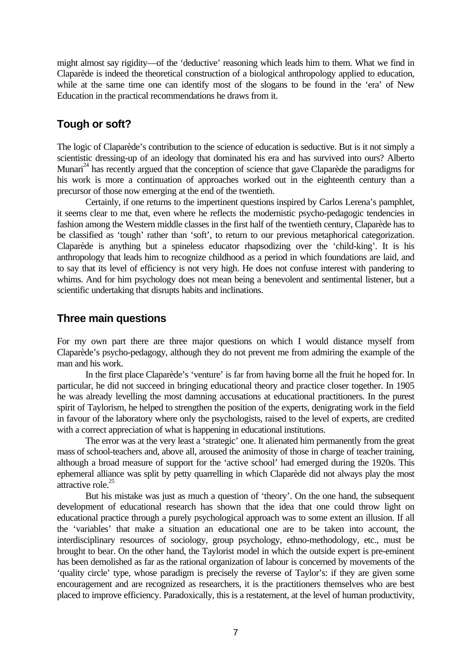might almost say rigidity—of the 'deductive' reasoning which leads him to them. What we find in Claparède is indeed the theoretical construction of a biological anthropology applied to education, while at the same time one can identify most of the slogans to be found in the 'era' of New Education in the practical recommendations he draws from it.

## **Tough or soft?**

The logic of Claparède's contribution to the science of education is seductive. But is it not simply a scientistic dressing-up of an ideology that dominated his era and has survived into ours? Alberto Munari<sup>24</sup> has recently argued that the conception of science that gave Claparède the paradigms for his work is more a continuation of approaches worked out in the eighteenth century than a precursor of those now emerging at the end of the twentieth.

Certainly, if one returns to the impertinent questions inspired by Carlos Lerena's pamphlet, it seems clear to me that, even where he reflects the modernistic psycho-pedagogic tendencies in fashion among the Western middle classes in the first half of the twentieth century, Claparède has to be classified as 'tough' rather than 'soft', to return to our previous metaphorical categorization. Claparède is anything but a spineless educator rhapsodizing over the 'child-king'. It is his anthropology that leads him to recognize childhood as a period in which foundations are laid, and to say that its level of efficiency is not very high. He does not confuse interest with pandering to whims. And for him psychology does not mean being a benevolent and sentimental listener, but a scientific undertaking that disrupts habits and inclinations.

## **Three main questions**

For my own part there are three major questions on which I would distance myself from Claparède's psycho-pedagogy, although they do not prevent me from admiring the example of the man and his work.

In the first place Claparède's 'venture' is far from having borne all the fruit he hoped for. In particular, he did not succeed in bringing educational theory and practice closer together. In 1905 he was already levelling the most damning accusations at educational practitioners. In the purest spirit of Taylorism, he helped to strengthen the position of the experts, denigrating work in the field in favour of the laboratory where only the psychologists, raised to the level of experts, are credited with a correct appreciation of what is happening in educational institutions.

The error was at the very least a 'strategic' one. It alienated him permanently from the great mass of school-teachers and, above all, aroused the animosity of those in charge of teacher training, although a broad measure of support for the 'active school' had emerged during the 1920s. This ephemeral alliance was split by petty quarrelling in which Claparède did not always play the most attractive role. $25$ 

But his mistake was just as much a question of 'theory'. On the one hand, the subsequent development of educational research has shown that the idea that one could throw light on educational practice through a purely psychological approach was to some extent an illusion. If all the 'variables' that make a situation an educational one are to be taken into account, the interdisciplinary resources of sociology, group psychology, ethno-methodology, etc., must be brought to bear. On the other hand, the Taylorist model in which the outside expert is pre-eminent has been demolished as far as the rational organization of labour is concerned by movements of the 'quality circle' type, whose paradigm is precisely the reverse of Taylor's: if they are given some encouragement and are recognized as researchers, it is the practitioners themselves who are best placed to improve efficiency. Paradoxically, this is a restatement, at the level of human productivity,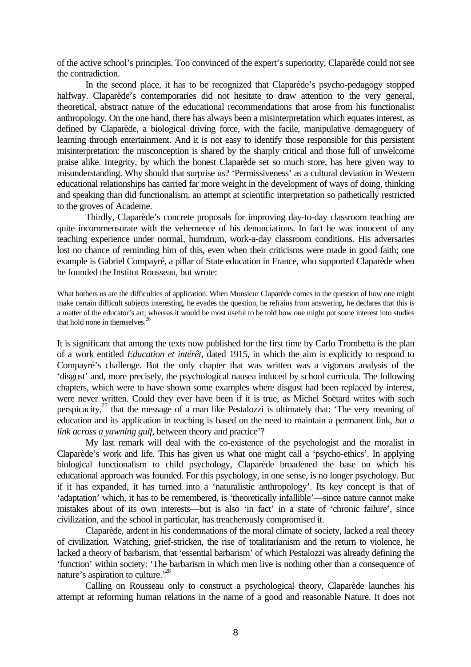of the active school's principles. Too convinced of the expert's superiority, Claparède could not see the contradiction.

In the second place, it has to be recognized that Claparède's psycho-pedagogy stopped halfway. Claparède's contemporaries did not hesitate to draw attention to the very general, theoretical, abstract nature of the educational recommendations that arose from his functionalist anthropology. On the one hand, there has always been a misinterpretation which equates interest, as defined by Claparède, a biological driving force, with the facile, manipulative demagoguery of learning through entertainment. And it is not easy to identify those responsible for this persistent misinterpretation: the misconception is shared by the sharply critical and those full of unwelcome praise alike. Integrity, by which the honest Claparède set so much store, has here given way to misunderstanding. Why should that surprise us? 'Permissiveness' as a cultural deviation in Western educational relationships has carried far more weight in the development of ways of doing, thinking and speaking than did functionalism, an attempt at scientific interpretation so pathetically restricted to the groves of Academe.

Thirdly, Claparède's concrete proposals for improving day-to-day classroom teaching are quite incommensurate with the vehemence of his denunciations. In fact he was innocent of any teaching experience under normal, humdrum, work-a-day classroom conditions. His adversaries lost no chance of reminding him of this, even when their criticisms were made in good faith; one example is Gabriel Compayré, a pillar of State education in France, who supported Claparède when he founded the Institut Rousseau, but wrote:

What bothers us are the difficulties of application. When Monsieur Claparède comes to the question of how one might make certain difficult subjects interesting, he evades the question, he refrains from answering, he declares that this is a matter of the educator's art; whereas it would be most useful to be told how one might put some interest into studies that hold none in themselves.<sup>2</sup>

It is significant that among the texts now published for the first time by Carlo Trombetta is the plan of a work entitled *Education et intérêt*, dated 1915, in which the aim is explicitly to respond to Compayré's challenge. But the only chapter that was written was a vigorous analysis of the 'disgust' and, more precisely, the psychological nausea induced by school curricula. The following chapters, which were to have shown some examples where disgust had been replaced by interest, were never written. Could they ever have been if it is true, as Michel Soëtard writes with such perspicacity,<sup>27</sup> that the message of a man like Pestalozzi is ultimately that: 'The very meaning of education and its application in teaching is based on the need to maintain a permanent link, *but a link across a yawning gulf*, between theory and practice'?

My last remark will deal with the co-existence of the psychologist and the moralist in Claparède's work and life. This has given us what one might call a 'psycho-ethics'. In applying biological functionalism to child psychology, Claparède broadened the base on which his educational approach was founded. For this psychology, in one sense, is no longer psychology. But if it has expanded, it has turned into a 'naturalistic anthropology'. Its key concept is that of 'adaptation' which, it has to be remembered, is 'theoretically infallible'—since nature cannot make mistakes about of its own interests—but is also 'in fact' in a state of 'chronic failure', since civilization, and the school in particular, has treacherously compromised it.

Claparède, ardent in his condemnations of the moral climate of society, lacked a real theory of civilization. Watching, grief-stricken, the rise of totalitarianism and the return to violence, he lacked a theory of barbarism, that 'essential barbarism' of which Pestalozzi was already defining the 'function' within society: 'The barbarism in which men live is nothing other than a consequence of nature's aspiration to culture.<sup>28</sup>

Calling on Rousseau only to construct a psychological theory, Claparède launches his attempt at reforming human relations in the name of a good and reasonable Nature. It does not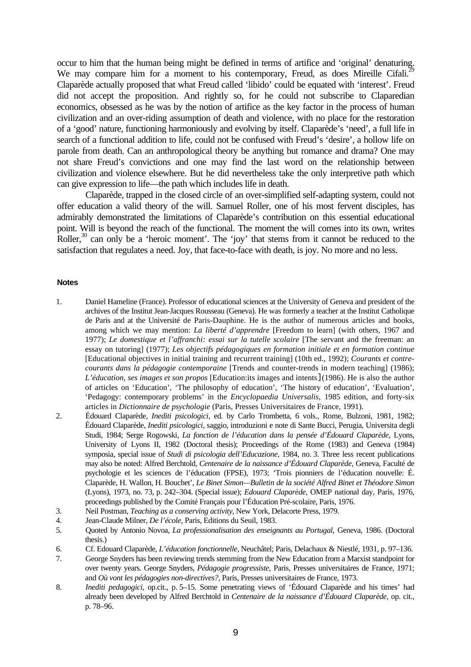occur to him that the human being might be defined in terms of artifice and 'original' denaturing. We may compare him for a moment to his contemporary, Freud, as does Mireille Cifali.<sup>29</sup> Claparède actually proposed that what Freud called 'libido' could be equated with 'interest'. Freud did not accept the proposition. And rightly so, for he could not subscribe to Claparedian economics, obsessed as he was by the notion of artifice as the key factor in the process of human civilization and an over-riding assumption of death and violence, with no place for the restoration of a 'good' nature, functioning harmoniously and evolving by itself. Claparède's 'need', a full life in search of a functional addition to life, could not be confused with Freud's 'desire', a hollow life on parole from death. Can an anthropological theory be anything but romance and drama? One may not share Freud's convictions and one may find the last word on the relationship between civilization and violence elsewhere. But he did nevertheless take the only interpretive path which can give expression to life—the path which includes life in death.

Claparède, trapped in the closed circle of an over-simplified self-adapting system, could not offer education a valid theory of the will. Samuel Roller, one of his most fervent disciples, has admirably demonstrated the limitations of Claparède's contribution on this essential educational point. Will is beyond the reach of the functional. The moment the will comes into its own, writes Roller,  $30$  can only be a 'heroic moment'. The 'joy' that stems from it cannot be reduced to the satisfaction that regulates a need. Joy, that face-to-face with death, is joy. No more and no less.

#### **Notes**

- 1. Daniel Hameline (France). Professor of educational sciences at the University of Geneva and president of the archives of the Institut Jean-Jacques Rousseau (Geneva). He was formerly a teacher at the Institut Catholique de Paris and at the Université de Paris-Dauphine. He is the author of numerous articles and books, among which we may mention: *La liberté d'apprendre* [Freedom to learn] (with others, 1967 and 1977); *Le domestique et l'affranchi: essai sur la tutelle scolaire* [The servant and the freeman: an essay on tutoring] (1977); *Les objectifs pédagogiques en formation initiale et en formation continue* [Educational objectives in initial training and recurrent training] (10th ed., 1992); *Courants et contrecourants dans la pédagogie contemporaine* [Trends and counter-trends in modern teaching] (1986); *L'éducation, ses images et son propos* [Education:its images and intents](1986). He is also the author of articles on 'Education', 'The philosophy of education', 'The history of education', 'Evaluation', 'Pedagogy: contemporary problems' in the *Encyclopaedia Universalis*, 1985 edition, and forty-six articles in *Dictionnaire de psychologie* (Paris, Presses Universitaires de France, 1991).
- 2. Édouard Claparède, *Inediti psicologici*, ed. by Carlo Trombetta, 6 vols., Rome, Bulzoni, 1981, 1982; Édouard Claparède, *Inediti psicologici*, saggio, introduzioni e note di Sante Bucci, Perugia, Universita degli Studi, 1984; Serge Rogowski, *La fonction de l'éducation dans la pensée d'Édouard Claparède*, Lyons, University of Lyons II, 1982 (Doctoral thesis); Proceedings of the Rome (1983) and Geneva (1984) symposia, special issue of *Studi di psicologia dell'Educazione*, 1984, no. 3. Three less recent publications may also be noted: Alfred Berchtold, *Centenaire de la naissance d'Édouard Claparède*, Geneva, Faculté de psychologie et les sciences de l'éducation (FPSE), 1973; 'Trois pionniers de l'éducation nouvelle: É. Claparède, H. Wallon, H. Bouchet', *Le Binet Simon—Bulletin de la société Alfred Binet et Théodore Simon* (Lyons), 1973, no. 73, p. 242–304. (Special issue); *Edouard Claparède*, OMEP national day, Paris, 1976, proceedings published by the Comité Français pour l'Éducation Pré-scolaire, Paris, 1976.
- 3. Neil Postman, *Teaching as a conserving activity*, New York, Delacorte Press, 1979.
- 4. Jean-Claude Milner, *De l'école*, Paris, Editions du Seuil, 1983.
- 5. Quoted by Antonio Novoa, *La professionalisation des enseignants au Portugal*, Geneva, 1986. (Doctoral thesis.)
- 6. Cf. Edouard Claparède, *L'éducation fonctionnelle*, Neuchâtel; Paris, Delachaux & Niestlé, 1931, p. 97–136.
- 7. George Snyders has been reviewing trends stemming from the New Education from a Marxist standpoint for over twenty years. George Snyders, *Pédagogie progressiste*, Paris, Presses universitaires de France, 1971; and *Où vont les pédagogies non-directives?*, Paris, Presses universitaires de France, 1973.
- 8. *Inediti pedagogici*, op.cit., p. 5–15. Some penetrating views of 'Édouard Claparède and his times' had already been developed by Alfred Berchtold in *Centenaire de la naissance d'Édouard Claparède*, op. cit., p. 78–96.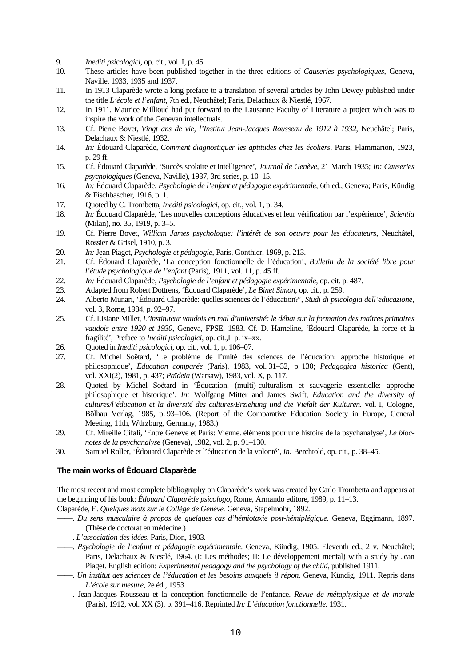- 9. *Inediti psicologici*, op. cit., vol. I, p. 45.
- 10. These articles have been published together in the three editions of *Causeries psychologiques*, Geneva, Naville, 1933, 1935 and 1937.
- 11. In 1913 Claparède wrote a long preface to a translation of several articles by John Dewey published under the title *L'école et l'enfant*, 7th ed., Neuchâtel; Paris, Delachaux & Niestlé, 1967.
- 12. In 1911, Maurice Millioud had put forward to the Lausanne Faculty of Literature a project which was to inspire the work of the Genevan intellectuals.
- 13. Cf. Pierre Bovet, *Vingt ans de vie, l'Institut Jean-Jacques Rousseau de 1912 à 1932*, Neuchâtel; Paris, Delachaux & Niestlé, 1932.
- 14. *In:* Édouard Claparède, *Comment diagnostiquer les aptitudes chez les écoliers*, Paris, Flammarion, 1923, p. 29 ff.
- 15. Cf. Édouard Claparède, 'Succès scolaire et intelligence', *Journal de Genève*, 21 March 1935; *In: Causeries psychologiques* (Geneva, Naville), 1937, 3rd series, p. 10–15.
- 16. *In:* Édouard Claparède, *Psychologie de l'enfant et pédagogie expérimentale*, 6th ed., Geneva; Paris, Kündig & Fischbascher, 1916, p. 1.
- 17. Quoted by C. Trombetta, *Inediti psicologici*, op. cit., vol. 1, p. 34.
- 18. *In:* Édouard Claparède, 'Les nouvelles conceptions éducatives et leur vérification par l'expérience', *Scientia* (Milan), no. 35, 1919, p. 3–5.
- 19. Cf. Pierre Bovet, *William James psychologue: l'intérêt de son oeuvre pour les éducateurs*, Neuchâtel, Rossier & Grisel, 1910, p. 3.
- 20. *In:* Jean Piaget, *Psychologie et pédagogie*, Paris, Gonthier, 1969, p. 213.
- 21. Cf. Édouard Claparède, 'La conception fonctionnelle de l'éducation', *Bulletin de la société libre pour l'étude psychologique de l'enfant* (Paris), 1911, vol. 11, p. 45 ff.
- 22. *In:* Édouard Claparède, *Psychologie de l'enfant et pédagogie expérimentale*, op. cit. p. 487.
- 23. Adapted from Robert Dottrens, 'Édouard Claparède', *Le Binet Simon*, op. cit., p. 259.
- 24. Alberto Munari, 'Édouard Claparède: quelles sciences de l'éducation?', *Studi di psicologia dell'educazione*, vol. 3, Rome, 1984, p. 92–97.
- 25. Cf. Lisiane Millet, *L'instituteur vaudois en mal d'université: le débat sur la formation des maîtres primaires vaudois entre 1920 et 1930*, Geneva, FPSE, 1983. Cf. D. Hameline, 'Édouard Claparède, la force et la fragilité', Preface to *Inediti psicologici*, op. cit.,L p. ix–xx.
- 26. Quoted in *Inediti psicologici*, op. cit., vol. 1, p. 106–07.
- 27. Cf. Michel Soëtard, 'Le problème de l'unité des sciences de l'éducation: approche historique et philosophique', *Éducation comparée* (Paris), 1983, vol. 31–32, p. 130; *Pedagogica historica* (Gent), vol. XXI(2), 1981, p. 437; *Païdeia* (Warsaw), 1983, vol. X, p. 117.
- 28. Quoted by Michel Soëtard in 'Éducation, (multi)-culturalism et sauvagerie essentielle: approche philosophique et historique', *In:* Wolfgang Mitter and James Swift, *Education and the diversity of cultures/l'éducation et la diversité des cultures/Erziehung und die Viefalt der Kulturen.* vol. 1, Cologne, Bölhau Verlag, 1985, p. 93–106. (Report of the Comparative Education Society in Europe, General Meeting, 11th, Würzburg, Germany, 1983.)
- 29. Cf. Mireille Cifali, 'Entre Genève et Paris: Vienne. éléments pour une histoire de la psychanalyse', *Le blocnotes de la psychanalyse* (Geneva), 1982, vol. 2, p. 91–130.
- 30. Samuel Roller, 'Édouard Claparède et l'éducation de la volonté', *In:* Berchtold, op. cit., p. 38–45.

#### **The main works of Édouard Claparède**

The most recent and most complete bibliography on Claparède's work was created by Carlo Trombetta and appears at the beginning of his book: *Édouard Claparède psicologo*, Rome, Armando editore, 1989, p. 11–13.

Claparède, E. *Quelques mots sur le Collège de Genève.* Geneva, Stapelmohr, 1892.

- ——. *Du sens musculaire à propos de quelques cas d'hémiotaxie post-hémiplégique.* Geneva, Eggimann, 1897. (Thèse de doctorat en médecine.)
- ——. *L'association des idées*. Paris, Dion, 1903.
- ——. *Psychologie de l'enfant et pédagogie expérimentale*. Geneva, Kündig, 1905. Eleventh ed., 2 v. Neuchâtel; Paris, Delachaux & Niestlé, 1964. (I: Les méthodes; II: Le développement mental) with a study by Jean Piaget. English edition: *Experimental pedagogy and the psychology of the child*, published 1911.
- ——. *Un institut des sciences de l'éducation et les besoins auxquels il répon.* Geneva, Kündig, 1911. Repris dans *L'école sur mesure,* 2e éd., 1953.
- ——. Jean-Jacques Rousseau et la conception fonctionnelle de l'enfance. *Revue de métaphysique et de morale* (Paris), 1912, vol. XX (3), p. 391–416. Reprinted *In: L'éducation fonctionnelle.* 1931.